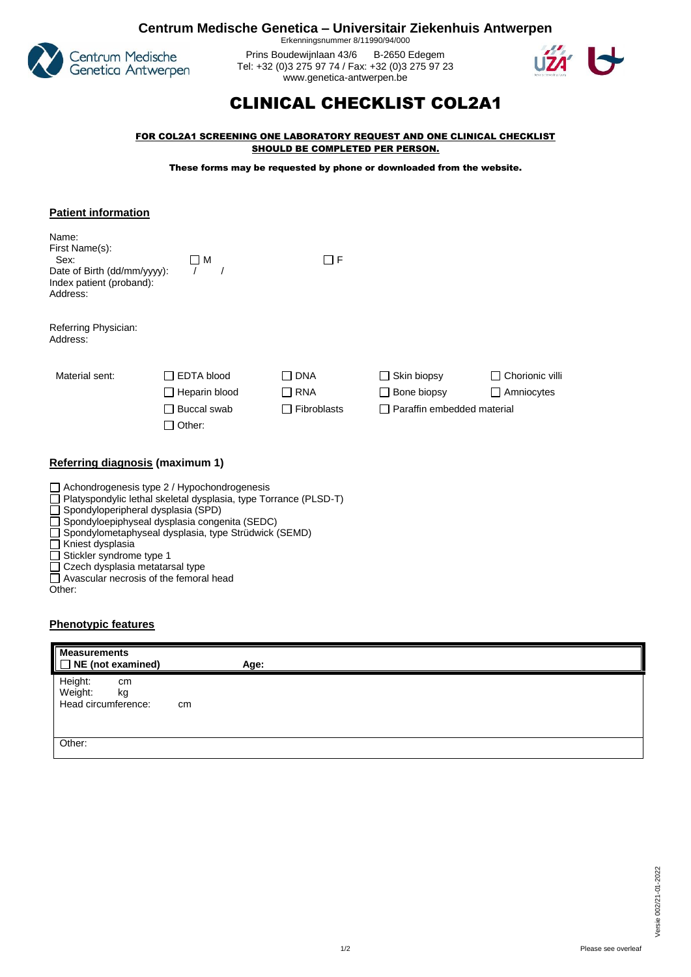

**Centrum Medische Genetica – Universitair Ziekenhuis Antwerpen** Erkenningsnummer 8/11990/94/000

> Prins Boudewijnlaan 43/6 B-2650 Edegem Tel: +32 (0)3 275 97 74 / Fax: +32 (0)3 275 97 23 [www.genetica-antwerpen.be](http://www.genetica-antwerpen.be/)



## CLINICAL CHECKLIST COL2A1

FOR COL2A1 SCREENING ONE LABORATORY REQUEST AND ONE CLINICAL CHECKLIST SHOULD BE COMPLETED PER PERSON.

These forms may be requested by phone or downloaded from the website.

| <b>Patient information</b>                                                                             |                                                                       |                                         |                                                                 |                               |
|--------------------------------------------------------------------------------------------------------|-----------------------------------------------------------------------|-----------------------------------------|-----------------------------------------------------------------|-------------------------------|
| Name:<br>First Name(s):<br>Sex:<br>Date of Birth (dd/mm/yyyy):<br>Index patient (proband):<br>Address: | ΠМ                                                                    | $\Box$ F                                |                                                                 |                               |
| Referring Physician:<br>Address:                                                                       |                                                                       |                                         |                                                                 |                               |
| Material sent:                                                                                         | <b>EDTA blood</b><br>Heparin blood<br>$\Box$<br>Buccal swab<br>Other: | <b>DNA</b><br><b>RNA</b><br>Fibroblasts | $\Box$ Skin biopsy<br>Bone biopsy<br>Paraffin embedded material | Chorionic villi<br>Amniocytes |
| Referring diagnosis (maximum 1)                                                                        |                                                                       |                                         |                                                                 |                               |

| $\Box$ Achondrogenesis type 2 / Hypochondrogenesis                      |
|-------------------------------------------------------------------------|
| $\Box$ Platyspondylic lethal skeletal dysplasia, type Torrance (PLSD-T) |
| $\Box$ Spondyloperipheral dysplasia (SPD)                               |
| $\Box$ Spondyloepiphyseal dysplasia congenita (SEDC)                    |
| □ Spondylometaphyseal dysplasia, type Strüdwick (SEMD)                  |
| $\Box$ Kniest dysplasia                                                 |
| $\Box$ Stickler syndrome type 1                                         |
|                                                                         |

Czech dysplasia metatarsal type

Avascular necrosis of the femoral head

Other:

## **Phenotypic features**

| <b>Measurements</b><br>$\blacksquare$ NE (not examined)     | Age: |
|-------------------------------------------------------------|------|
| Height:<br>cm<br>Weight:<br>kg<br>Head circumference:<br>cm |      |
| Other:                                                      |      |